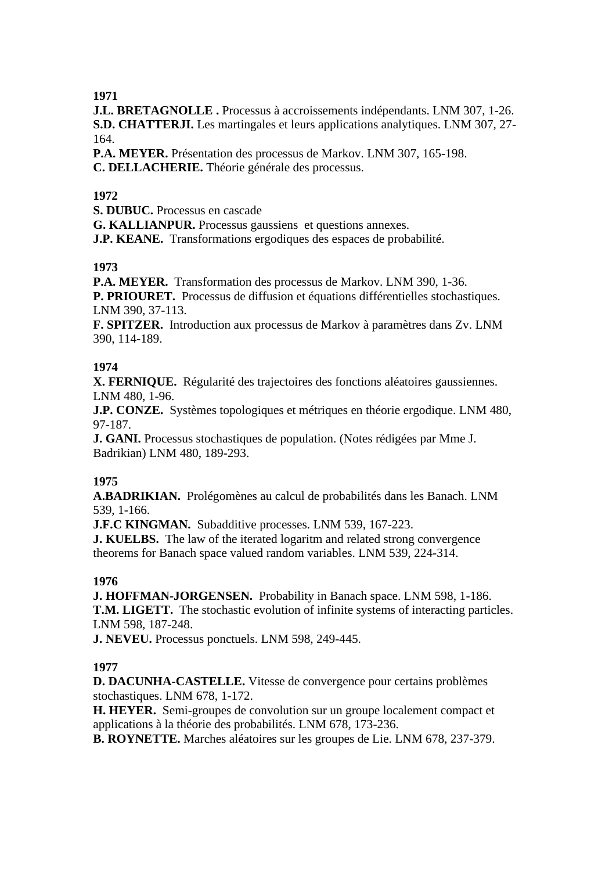**J.L. BRETAGNOLLE .** Processus à accroissements indépendants. LNM 307, 1-26. **S.D. CHATTERJI.** Les martingales et leurs applications analytiques. LNM 307, 27- 164.

**P.A. MEYER.** Présentation des processus de Markov. LNM 307, 165-198. **C. DELLACHERIE.** Théorie générale des processus.

## **1972**

**S. DUBUC.** Processus en cascade

**G. KALLIANPUR.** Processus gaussiens et questions annexes.

**J.P. KEANE.** Transformations ergodiques des espaces de probabilité.

## **1973**

**P.A. MEYER.** Transformation des processus de Markov. LNM 390, 1-36. **P. PRIOURET.** Processus de diffusion et équations différentielles stochastiques. LNM 390, 37-113.

**F. SPITZER.** Introduction aux processus de Markov à paramètres dans Zv. LNM 390, 114-189.

## **1974**

**X. FERNIQUE.** Régularité des trajectoires des fonctions aléatoires gaussiennes. LNM 480, 1-96.

**J.P. CONZE.** Systèmes topologiques et métriques en théorie ergodique. LNM 480, 97-187.

**J. GANI.** Processus stochastiques de population. (Notes rédigées par Mme J. Badrikian) LNM 480, 189-293.

# **1975**

**A.BADRIKIAN.** Prolégomènes au calcul de probabilités dans les Banach. LNM 539, 1-166.

**J.F.C KINGMAN.** Subadditive processes. LNM 539, 167-223.

**J. KUELBS.** The law of the iterated logaritm and related strong convergence theorems for Banach space valued random variables. LNM 539, 224-314.

## **1976**

**J. HOFFMAN-JORGENSEN.** Probability in Banach space. LNM 598, 1-186. **T.M. LIGETT.** The stochastic evolution of infinite systems of interacting particles. LNM 598, 187-248.

**J. NEVEU.** Processus ponctuels. LNM 598, 249-445.

# **1977**

**D. DACUNHA-CASTELLE.** Vitesse de convergence pour certains problèmes stochastiques. LNM 678, 1-172.

**H. HEYER.** Semi-groupes de convolution sur un groupe localement compact et applications à la théorie des probabilités. LNM 678, 173-236.

**B. ROYNETTE.** Marches aléatoires sur les groupes de Lie. LNM 678, 237-379.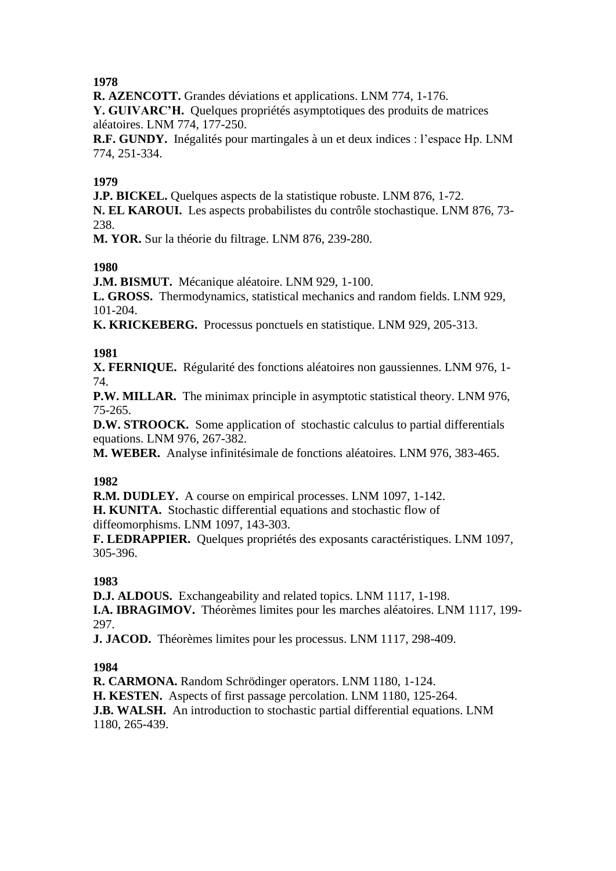**R. AZENCOTT.** Grandes déviations et applications. LNM 774, 1-176.

**Y. GUIVARC'H.** Quelques propriétés asymptotiques des produits de matrices aléatoires. LNM 774, 177-250.

**R.F. GUNDY.** Inégalités pour martingales à un et deux indices : l'espace Hp. LNM 774, 251-334.

#### **1979**

**J.P. BICKEL.** Quelques aspects de la statistique robuste. LNM 876, 1-72.

**N. EL KAROUI.** Les aspects probabilistes du contrôle stochastique. LNM 876, 73- 238.

**M. YOR.** Sur la théorie du filtrage. LNM 876, 239-280.

## **1980**

**J.M. BISMUT.** Mécanique aléatoire. LNM 929, 1-100.

**L. GROSS.** Thermodynamics, statistical mechanics and random fields. LNM 929, 101-204.

**K. KRICKEBERG.** Processus ponctuels en statistique. LNM 929, 205-313.

#### **1981**

**X. FERNIQUE.** Régularité des fonctions aléatoires non gaussiennes. LNM 976, 1- 74.

**P.W. MILLAR.** The minimax principle in asymptotic statistical theory. LNM 976, 75-265.

**D.W. STROOCK.** Some application of stochastic calculus to partial differentials equations. LNM 976, 267-382.

**M. WEBER.** Analyse infinitésimale de fonctions aléatoires. LNM 976, 383-465.

## **1982**

**R.M. DUDLEY.** A course on empirical processes. LNM 1097, 1-142. **H. KUNITA.** Stochastic differential equations and stochastic flow of diffeomorphisms. LNM 1097, 143-303.

**F. LEDRAPPIER.** Quelques propriétés des exposants caractéristiques. LNM 1097, 305-396.

## **1983**

**D.J. ALDOUS.** Exchangeability and related topics. LNM 1117, 1-198. **I.A. IBRAGIMOV.** Théorèmes limites pour les marches aléatoires. LNM 1117, 199- 297.

**J. JACOD.** Théorèmes limites pour les processus. LNM 1117, 298-409.

## **1984**

**R. CARMONA.** Random Schrödinger operators. LNM 1180, 1-124. **H. KESTEN.** Aspects of first passage percolation. LNM 1180, 125-264. **J.B. WALSH.** An introduction to stochastic partial differential equations. LNM 1180, 265-439.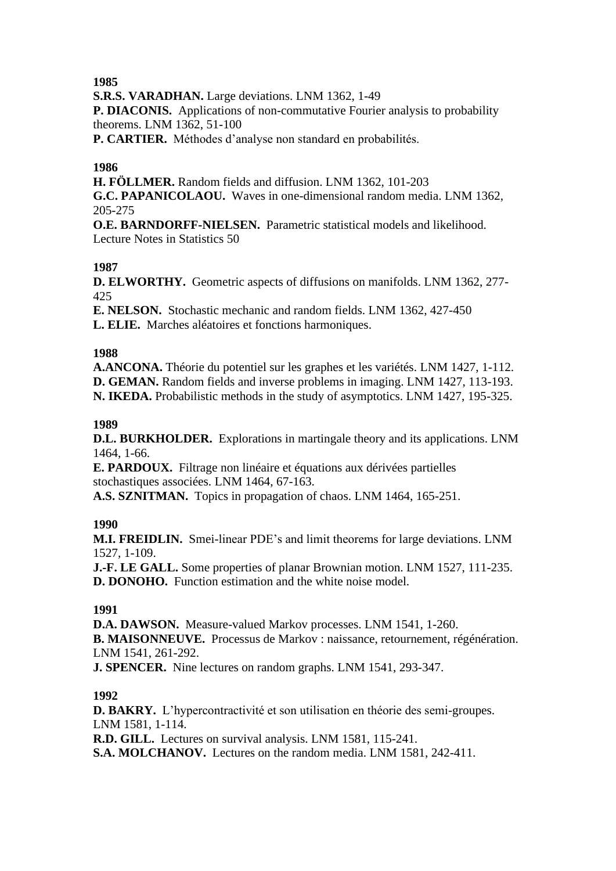**S.R.S. VARADHAN.** Large deviations. LNM 1362, 1-49

**P. DIACONIS.** Applications of non-commutative Fourier analysis to probability theorems. LNM 1362, 51-100

**P. CARTIER.** Méthodes d'analyse non standard en probabilités.

#### **1986**

**H. FÖLLMER.** Random fields and diffusion. LNM 1362, 101-203

**G.C. PAPANICOLAOU.** Waves in one-dimensional random media. LNM 1362, 205-275

**O.E. BARNDORFF-NIELSEN.** Parametric statistical models and likelihood. Lecture Notes in Statistics 50

## **1987**

**D. ELWORTHY.** Geometric aspects of diffusions on manifolds. LNM 1362, 277- 425

**E. NELSON.** Stochastic mechanic and random fields. LNM 1362, 427-450 **L. ELIE.** Marches aléatoires et fonctions harmoniques.

#### **1988**

**A.ANCONA.** Théorie du potentiel sur les graphes et les variétés. LNM 1427, 1-112. **D. GEMAN.** Random fields and inverse problems in imaging. LNM 1427, 113-193. **N. IKEDA.** Probabilistic methods in the study of asymptotics. LNM 1427, 195-325.

#### **1989**

**D.L. BURKHOLDER.** Explorations in martingale theory and its applications. LNM 1464, 1-66.

**E. PARDOUX.** Filtrage non linéaire et équations aux dérivées partielles stochastiques associées. LNM 1464, 67-163.

**A.S. SZNITMAN.** Topics in propagation of chaos. LNM 1464, 165-251.

#### **1990**

**M.I. FREIDLIN.** Smei-linear PDE's and limit theorems for large deviations. LNM 1527, 1-109.

**J.-F. LE GALL.** Some properties of planar Brownian motion. LNM 1527, 111-235. **D. DONOHO.** Function estimation and the white noise model.

## **1991**

**D.A. DAWSON.** Measure-valued Markov processes. LNM 1541, 1-260. **B. MAISONNEUVE.** Processus de Markov : naissance, retournement, régénération. LNM 1541, 261-292.

**J. SPENCER.** Nine lectures on random graphs. LNM 1541, 293-347.

## **1992**

**D. BAKRY.** L'hypercontractivité et son utilisation en théorie des semi-groupes. LNM 1581, 1-114.

**R.D. GILL.** Lectures on survival analysis. LNM 1581, 115-241.

**S.A. MOLCHANOV.** Lectures on the random media. LNM 1581, 242-411.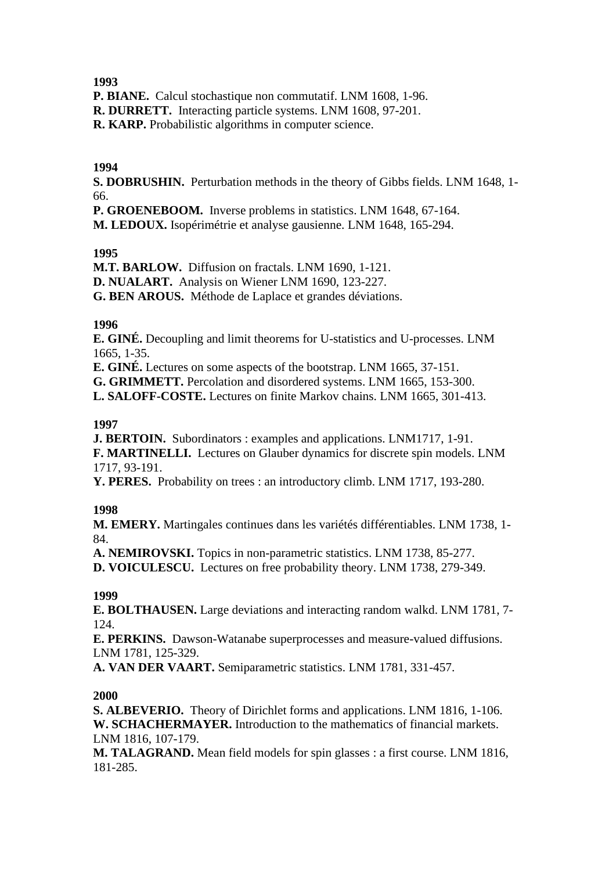**P. BIANE.** Calcul stochastique non commutatif. LNM 1608, 1-96.

**R. DURRETT.** Interacting particle systems. LNM 1608, 97-201.

**R. KARP.** Probabilistic algorithms in computer science.

#### **1994**

**S. DOBRUSHIN.** Perturbation methods in the theory of Gibbs fields. LNM 1648, 1- 66.

**P. GROENEBOOM.** Inverse problems in statistics. LNM 1648, 67-164.

**M. LEDOUX.** Isopérimétrie et analyse gausienne. LNM 1648, 165-294.

## **1995**

**M.T. BARLOW.** Diffusion on fractals. LNM 1690, 1-121. **D. NUALART.** Analysis on Wiener LNM 1690, 123-227. **G. BEN AROUS.** Méthode de Laplace et grandes déviations.

#### **1996**

**E. GINÉ.** Decoupling and limit theorems for U-statistics and U-processes. LNM 1665, 1-35.

**E. GINÉ.** Lectures on some aspects of the bootstrap. LNM 1665, 37-151.

**G. GRIMMETT.** Percolation and disordered systems. LNM 1665, 153-300.

**L. SALOFF-COSTE.** Lectures on finite Markov chains. LNM 1665, 301-413.

#### **1997**

**J. BERTOIN.** Subordinators : examples and applications. LNM1717, 1-91. **F. MARTINELLI.** Lectures on Glauber dynamics for discrete spin models. LNM 1717, 93-191.

**Y. PERES.** Probability on trees : an introductory climb. LNM 1717, 193-280.

## **1998**

**M. EMERY.** Martingales continues dans les variétés différentiables. LNM 1738, 1- 84.

**A. NEMIROVSKI.** Topics in non-parametric statistics. LNM 1738, 85-277. **D. VOICULESCU.** Lectures on free probability theory. LNM 1738, 279-349.

#### **1999**

**E. BOLTHAUSEN.** Large deviations and interacting random walkd. LNM 1781, 7- 124.

**E. PERKINS.** Dawson-Watanabe superprocesses and measure-valued diffusions. LNM 1781, 125-329.

**A. VAN DER VAART.** Semiparametric statistics. LNM 1781, 331-457.

#### **2000**

**S. ALBEVERIO.** Theory of Dirichlet forms and applications. LNM 1816, 1-106. **W. SCHACHERMAYER.** Introduction to the mathematics of financial markets. LNM 1816, 107-179.

**M. TALAGRAND.** Mean field models for spin glasses : a first course. LNM 1816, 181-285.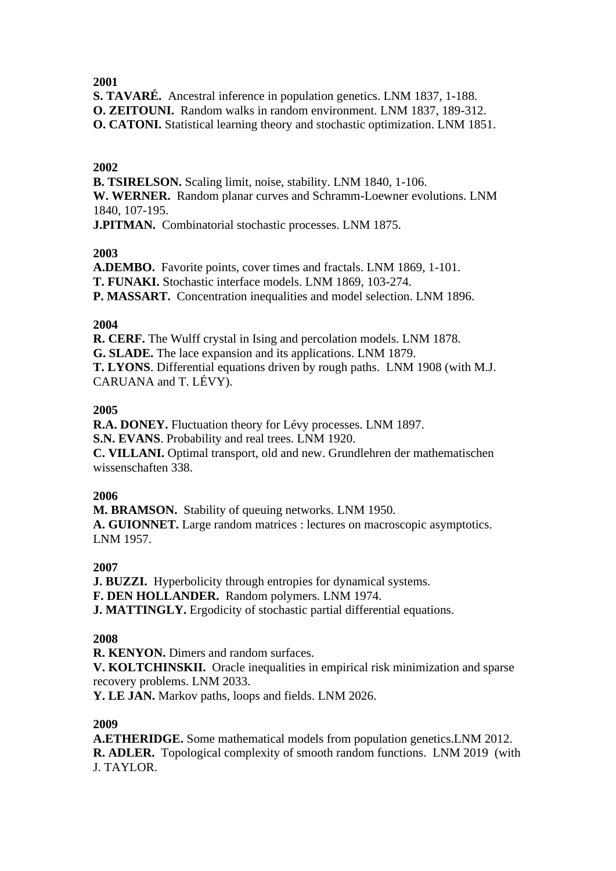**S. TAVARÉ.** Ancestral inference in population genetics. LNM 1837, 1-188. **O. ZEITOUNI.** Random walks in random environment. LNM 1837, 189-312.

**O. CATONI.** Statistical learning theory and stochastic optimization. LNM 1851.

## **2002**

**B. TSIRELSON.** Scaling limit, noise, stability. LNM 1840, 1-106. **W. WERNER.** Random planar curves and Schramm-Loewner evolutions. LNM 1840, 107-195. **J.PITMAN.** Combinatorial stochastic processes. LNM 1875.

## **2003**

**A.DEMBO.** Favorite points, cover times and fractals. LNM 1869, 1-101. **T. FUNAKI.** Stochastic interface models. LNM 1869, 103-274. **P. MASSART.** Concentration inequalities and model selection. LNM 1896.

## **2004**

**R. CERF.** The Wulff crystal in Ising and percolation models. LNM 1878. **G. SLADE.** The lace expansion and its applications. LNM 1879. **T. LYONS**. Differential equations driven by rough paths. LNM 1908 (with M.J. CARUANA and T. LÉVY).

## **2005**

**R.A. DONEY.** Fluctuation theory for Lévy processes. LNM 1897. **S.N. EVANS**. Probability and real trees. LNM 1920. **C. VILLANI.** Optimal transport, old and new. Grundlehren der mathematischen

wissenschaften 338.

## **2006**

**M. BRAMSON.** Stability of queuing networks. LNM 1950. **A. GUIONNET.** Large random matrices : lectures on macroscopic asymptotics. LNM 1957.

## **2007**

**J. BUZZI.** Hyperbolicity through entropies for dynamical systems.

**F. DEN HOLLANDER.** Random polymers. LNM 1974.

**J. MATTINGLY.** Ergodicity of stochastic partial differential equations.

# **2008**

**R. KENYON.** Dimers and random surfaces.

**V. KOLTCHINSKII.** Oracle inequalities in empirical risk minimization and sparse recovery problems. LNM 2033.

**Y. LE JAN.** Markov paths, loops and fields. LNM 2026.

# **2009**

**A.ETHERIDGE.** Some mathematical models from population genetics.LNM 2012. **R. ADLER.** Topological complexity of smooth random functions. LNM 2019 (with J. TAYLOR.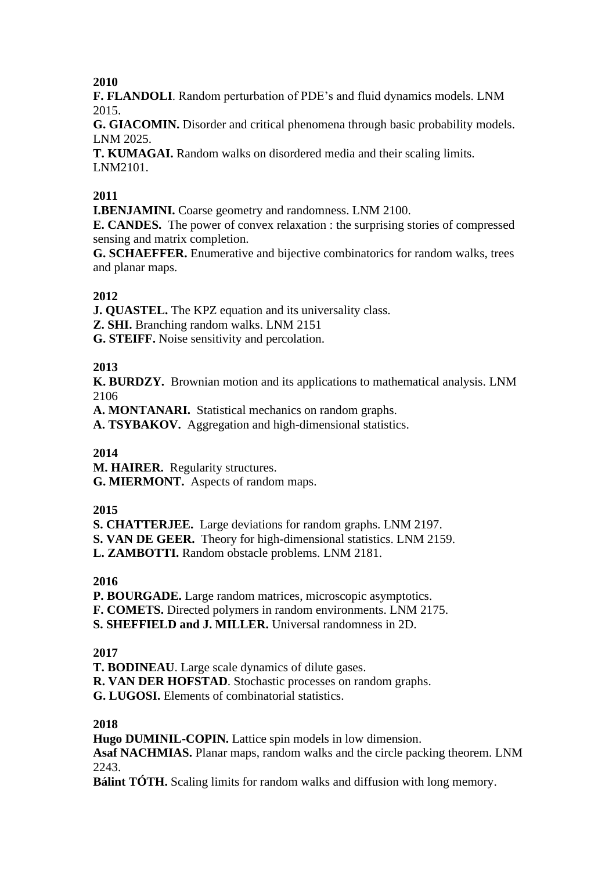**F. FLANDOLI**. Random perturbation of PDE's and fluid dynamics models. LNM 2015.

**G. GIACOMIN.** Disorder and critical phenomena through basic probability models. LNM 2025.

**T. KUMAGAI.** Random walks on disordered media and their scaling limits. LNM2101.

## **2011**

**I.BENJAMINI.** Coarse geometry and randomness. LNM 2100.

**E. CANDES.** The power of convex relaxation : the surprising stories of compressed sensing and matrix completion.

**G. SCHAEFFER.** Enumerative and bijective combinatorics for random walks, trees and planar maps.

## **2012**

**J. QUASTEL.** The KPZ equation and its universality class.

**Z. SHI.** Branching random walks. LNM 2151

**G. STEIFF.** Noise sensitivity and percolation.

## **2013**

**K. BURDZY.** Brownian motion and its applications to mathematical analysis. LNM 2106

**A. MONTANARI.** Statistical mechanics on random graphs.

**A. TSYBAKOV.** Aggregation and high-dimensional statistics.

## **2014**

**M. HAIRER.** Regularity structures. **G. MIERMONT.** Aspects of random maps.

## **2015**

**S. CHATTERJEE.** Large deviations for random graphs. LNM 2197. **S. VAN DE GEER.** Theory for high-dimensional statistics. LNM 2159.

**L. ZAMBOTTI.** Random obstacle problems. LNM 2181.

## **2016**

**P. BOURGADE.** Large random matrices, microscopic asymptotics. **F. COMETS.** Directed polymers in random environments. LNM 2175. **S. SHEFFIELD and J. MILLER.** Universal randomness in 2D.

## **2017**

**T. BODINEAU**. Large scale dynamics of dilute gases. **R. VAN DER HOFSTAD**. Stochastic processes on random graphs. **G. LUGOSI.** Elements of combinatorial statistics.

## **2018**

**Hugo DUMINIL-COPIN.** Lattice spin models in low dimension. **Asaf NACHMIAS.** Planar maps, random walks and the circle packing theorem. LNM 2243.

**Bálint TÓTH.** Scaling limits for random walks and diffusion with long memory.